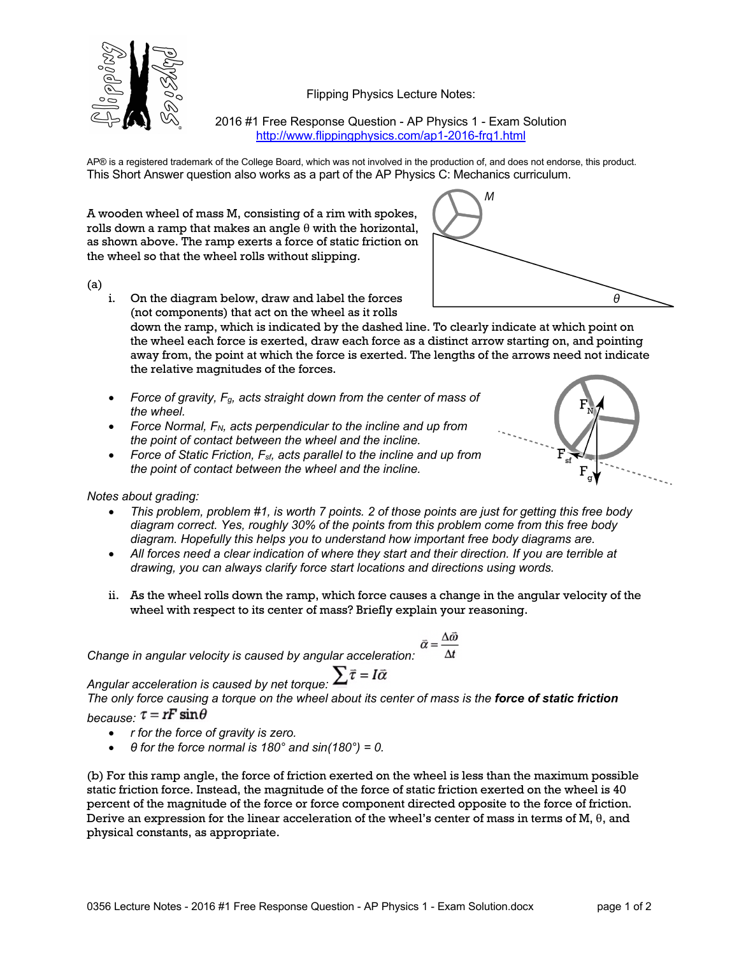

Flipping Physics Lecture Notes:

2016 #1 Free Response Question - AP Physics 1 - Exam Solution http://www.flippingphysics.com/ap1-2016-frq1.html

AP® is a registered trademark of the College Board, which was not involved in the production of, and does not endorse, this product. This Short Answer question also works as a part of the AP Physics C: Mechanics curriculum.

A wooden wheel of mass M, consisting of a rim with spokes, rolls down a ramp that makes an angle  $\theta$  with the horizontal, as shown above. The ramp exerts a force of static friction on the wheel so that the wheel rolls without slipping.

(a)

i. On the diagram below, draw and label the forces (not components) that act on the wheel as it rolls

down the ramp, which is indicated by the dashed line. To clearly indicate at which point on the wheel each force is exerted, draw each force as a distinct arrow starting on, and pointing away from, the point at which the force is exerted. The lengths of the arrows need not indicate the relative magnitudes of the forces.

- *Force of gravity, Fg, acts straight down from the center of mass of the wheel.*
- *Force Normal, FN, acts perpendicular to the incline and up from the point of contact between the wheel and the incline.*
- *Force of Static Friction, Fsf, acts parallel to the incline and up from the point of contact between the wheel and the incline.*



A

*Notes about grading:*

- *This problem, problem #1, is worth 7 points. 2 of those points are just for getting this free body diagram correct. Yes, roughly 30% of the points from this problem come from this free body diagram. Hopefully this helps you to understand how important free body diagrams are.*
- *All forces need a clear indication of where they start and their direction. If you are terrible at drawing, you can always clarify force start locations and directions using words.*
- ii. As the wheel rolls down the ramp, which force causes a change in the angular velocity of the wheel with respect to its center of mass? Briefly explain your reasoning.

$$
\vec{\alpha} = \frac{\Delta \vec{\omega}}{\Delta t}
$$

*Change in angular velocity is caused by angular acceleration:* 

*Angular acceleration is caused by net torque:*  $\sum \overline{r} = I\overline{\alpha}$ <br>The only force country a final purpose of *The only force causing a torque on the wheel about its center of mass is the force of static friction*

## *because:*  $\tau = rF \sin \theta$

- *r for the force of gravity is zero.*
- *θ for the force normal is 180° and sin(180°) = 0.*

(b) For this ramp angle, the force of friction exerted on the wheel is less than the maximum possible static friction force. Instead, the magnitude of the force of static friction exerted on the wheel is 40 percent of the magnitude of the force or force component directed opposite to the force of friction. Derive an expression for the linear acceleration of the wheel's center of mass in terms of M,  $\theta$ , and physical constants, as appropriate.